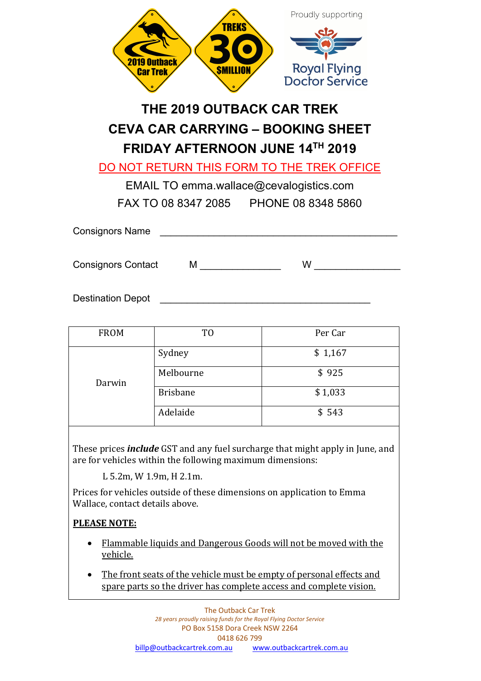| <b>2019 Outback</b><br><b>SMILLION</b><br><b>Car Trek</b> | Proudly supporting<br><b>TREKS</b><br><b>Royal Flying</b><br><b>Doctor Service</b>                                                                                                                                                                          |
|-----------------------------------------------------------|-------------------------------------------------------------------------------------------------------------------------------------------------------------------------------------------------------------------------------------------------------------|
|                                                           | THE 2019 OUTBACK CAR TREK                                                                                                                                                                                                                                   |
|                                                           | <b>CEVA CAR CARRYING - BOOKING SHEET</b>                                                                                                                                                                                                                    |
|                                                           | <b>FRIDAY AFTERNOON JUNE 14TH 2019</b>                                                                                                                                                                                                                      |
|                                                           | DO NOT RETURN THIS FORM TO THE TREK OFFICE                                                                                                                                                                                                                  |
|                                                           | EMAIL TO emma.wallace@cevalogistics.com                                                                                                                                                                                                                     |
|                                                           | FAX TO 08 8347 2085 PHONE 08 8348 5860                                                                                                                                                                                                                      |
| <b>Consignors Name</b>                                    |                                                                                                                                                                                                                                                             |
| <b>Consignors Contact</b>                                 | $M \quad \qquad$<br>W <sub>2</sub> and the set of the set of the set of the set of the set of the set of the set of the set of the set of the set of the set of the set of the set of the set of the set of the set of the set of the set of the set of the |
| <b>Destination Depot</b>                                  |                                                                                                                                                                                                                                                             |

FROM TO TO Per Car Darwin Sydney  $\qquad$  \$ 1,167 Melbourne and settled settlement of the settlement of the settlement of the settlement of the settlement of the settlement of the settlement of the settlement of the settlement of the settlement of the settlement of the se Brisbane \$1,033 Adelaide  $\begin{array}{ccc} \bullet & \bullet & \bullet \\ \bullet & \bullet & \bullet \end{array}$ 

These prices *include* GST and any fuel surcharge that might apply in June, and are for vehicles within the following maximum dimensions:

L 5.2m, W 1.9m, H 2.1m.

Prices for vehicles outside of these dimensions on application to Emma Wallace, contact details above.

## **PLEASE NOTE:**

- Flammable liquids and Dangerous Goods will not be moved with the vehicle.
- The front seats of the vehicle must be empty of personal effects and spare parts so the driver has complete access and complete vision.